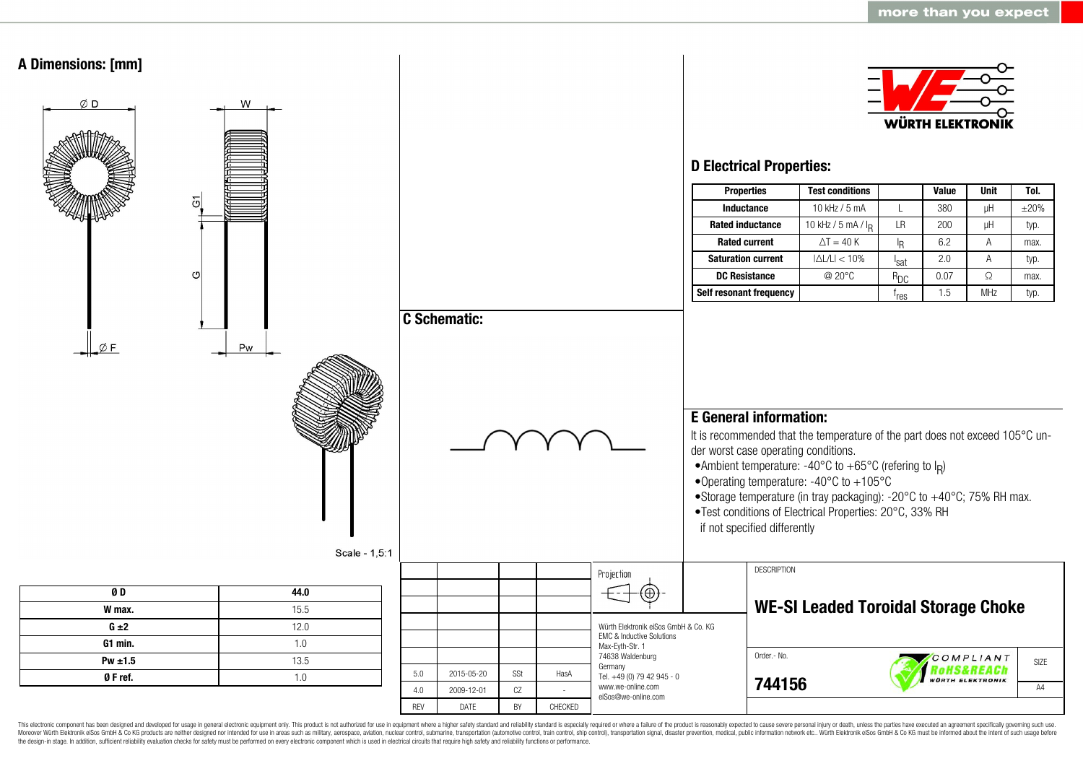

This electronic component has been designed and developed for usage in general electronic equipment only. This product is not authorized for use in equipment where a higher safety standard and reliability standard is espec Moreover Würth Elektronik eiSos GmbH & Co KG products are neither designed nor intended for use in areas such as military, aerospace, aviation, nuclear control, submarine, transportation (automotive control, ship control), the design-in stage. In addition, sufficient reliability evaluation checks for safety must be performed on every electronic component which is used in electrical circuits that require high safety and reliability functions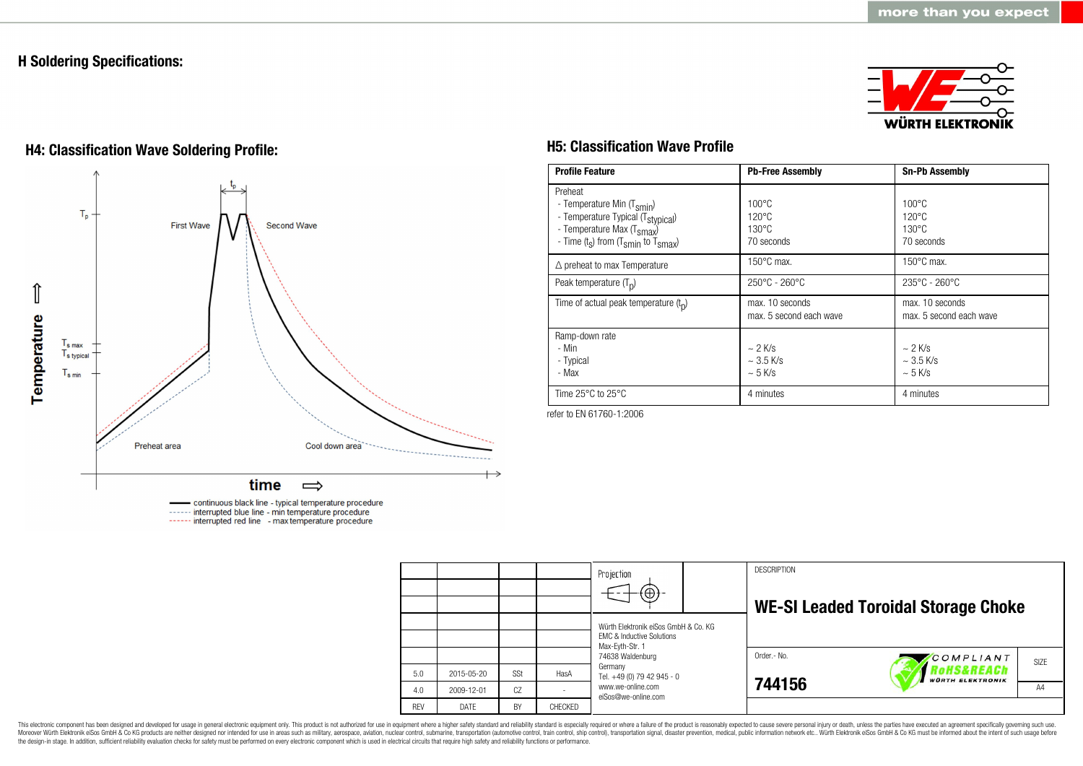## **H Soldering Specifications:**



# **H4: Classification Wave Soldering Profile: H5: Classification Wave Profile**



continuous black line - typical temperature procedure ------ interrupted blue line - min temperature procedure ------ interrupted red line - max temperature procedure

| <b>Profile Feature</b>                                                                                                                                                                          | <b>Pb-Free Assembly</b>                                             | <b>Sn-Pb Assembly</b>                                               |
|-------------------------------------------------------------------------------------------------------------------------------------------------------------------------------------------------|---------------------------------------------------------------------|---------------------------------------------------------------------|
| Preheat<br>- Temperature Min (T <sub>smin</sub> )<br>- Temperature Typical (T <sub>stypical</sub> )<br>- Temperature Max (T <sub>smax</sub> )<br>- Time $(t_s)$ from $(T_{smin}$ to $T_{smax})$ | $100^{\circ}$ C<br>$120^{\circ}$ C<br>$130^{\circ}$ C<br>70 seconds | $100^{\circ}$ C<br>$120^{\circ}$ C<br>$130^{\circ}$ C<br>70 seconds |
| $\triangle$ preheat to max Temperature                                                                                                                                                          | $150^{\circ}$ C max.                                                | $150^{\circ}$ C max.                                                |
| Peak temperature $(T_n)$                                                                                                                                                                        | 250°C - 260°C                                                       | $235^{\circ}$ C - 260 $^{\circ}$ C                                  |
| Time of actual peak temperature $(t_0)$                                                                                                                                                         | max. 10 seconds<br>max. 5 second each wave                          | max. 10 seconds<br>max. 5 second each wave                          |
| Ramp-down rate<br>- Min<br>- Typical<br>- Max                                                                                                                                                   | $\sim$ 2 K/s<br>$\sim$ 3.5 K/s<br>$\sim$ 5 K/s                      | $\sim$ 2 K/s<br>$\sim$ 3.5 K/s<br>$\sim$ 5 K/s                      |
| Time $25^{\circ}$ C to $25^{\circ}$ C                                                                                                                                                           | 4 minutes                                                           | 4 minutes                                                           |

refer to EN 61760-1:2006

|            |            |     |                | Projection<br>$\Theta$                                                                          |  | <b>DESCRIPTION</b> | <b>WE-SI Leaded Toroidal Storage Choke</b> |  |
|------------|------------|-----|----------------|-------------------------------------------------------------------------------------------------|--|--------------------|--------------------------------------------|--|
|            |            |     |                | Würth Elektronik eiSos GmbH & Co. KG<br><b>EMC &amp; Inductive Solutions</b><br>Max-Eyth-Str. 1 |  |                    |                                            |  |
|            |            |     |                | 74638 Waldenburg                                                                                |  | Order.- No.        | COMPLIANT<br>SIZE                          |  |
| 5.0        | 2015-05-20 | SSt | HasA           | Germany<br>Tel. +49 (0) 79 42 945 - 0                                                           |  |                    | RoHS&REACh<br><b>WÜRTH ELEKTRONIK</b>      |  |
| 4.0        | 2009-12-01 | CZ  |                | www.we-online.com<br>eiSos@we-online.com                                                        |  | 744156             | A <sub>4</sub>                             |  |
| <b>REV</b> | DATE       | BY  | <b>CHFCKFD</b> |                                                                                                 |  |                    |                                            |  |

This electronic component has been designed and developed for usage in general electronic equipment only. This product is not authorized for use in equipment where a higher safety standard and reliability standard and reli Moreover Würth Elektronik eiSos GmbH & Co KG products are neither designed nor intended for use in areas such as military, aerospace, aviation, nuclear control, submarine, transportation (automotive control), stain control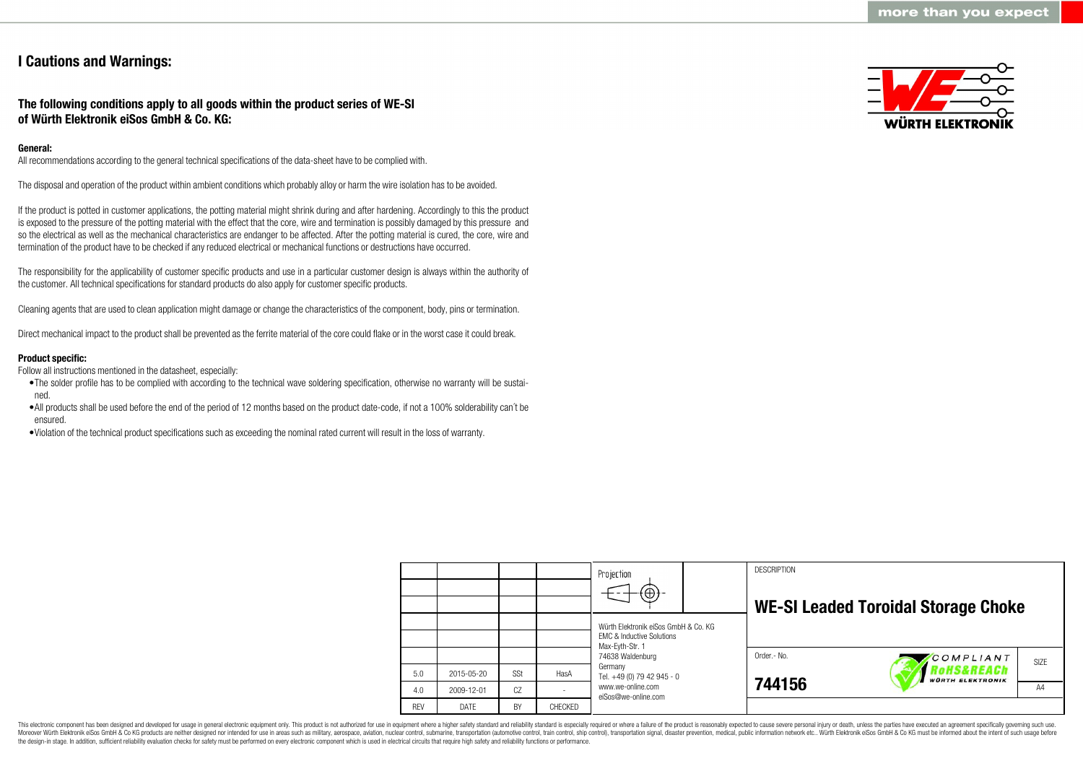## **I Cautions and Warnings:**

## **The following conditions apply to all goods within the product series of WE-SI of Würth Elektronik eiSos GmbH & Co. KG:**

#### **General:**

All recommendations according to the general technical specifications of the data-sheet have to be complied with.

The disposal and operation of the product within ambient conditions which probably alloy or harm the wire isolation has to be avoided.

If the product is potted in customer applications, the potting material might shrink during and after hardening. Accordingly to this the product is exposed to the pressure of the potting material with the effect that the core, wire and termination is possibly damaged by this pressure and so the electrical as well as the mechanical characteristics are endanger to be affected. After the potting material is cured, the core, wire and termination of the product have to be checked if any reduced electrical or mechanical functions or destructions have occurred.

The responsibility for the applicability of customer specific products and use in a particular customer design is always within the authority of the customer. All technical specifications for standard products do also apply for customer specific products.

Cleaning agents that are used to clean application might damage or change the characteristics of the component, body, pins or termination.

Direct mechanical impact to the product shall be prevented as the ferrite material of the core could flake or in the worst case it could break.

#### **Product specific:**

Follow all instructions mentioned in the datasheet, especially:

- •The solder profile has to be complied with according to the technical wave soldering specification, otherwise no warranty will be sustained.
- •All products shall be used before the end of the period of 12 months based on the product date-code, if not a 100% solderability can´t be ensured.
- •Violation of the technical product specifications such as exceeding the nominal rated current will result in the loss of warranty.



|            |            |           |         | Projection<br>$\bigoplus$                                                         |  | <b>DESCRIPTION</b> | <b>WE-SI Leaded Toroidal Storage Choke</b> |                   |  |
|------------|------------|-----------|---------|-----------------------------------------------------------------------------------|--|--------------------|--------------------------------------------|-------------------|--|
|            |            |           |         | Würth Elektronik eiSos GmbH & Co. KG<br><b>EMC &amp; Inductive Solutions</b>      |  |                    |                                            |                   |  |
|            |            |           |         | Max-Eyth-Str. 1<br>74638 Waldenburg                                               |  | Order.- No.        | COMPLIANT                                  | SI <sub>7</sub> F |  |
| 5.0        | 2015-05-20 | SSt       | HasA    | Germany<br>Tel. +49 (0) 79 42 945 - 0<br>www.we-online.com<br>eiSos@we-online.com |  | 744156             | oHS&REACh<br><b>WÜRTH ELEKTRONIK</b>       |                   |  |
| 4.0        | 2009-12-01 | CZ        |         |                                                                                   |  |                    |                                            | A4                |  |
| <b>RFV</b> | DATE       | <b>BY</b> | CHECKED |                                                                                   |  |                    |                                            |                   |  |

This electronic component has been designed and developed for usage in general electronic equipment only. This product is not authorized for use in equipment where a higher safety standard and reliability standard is espec Moreover Würth Elektronik eiSos GmbH & Co KG products are neither designed nor intended for use in areas such as military, aerospace, aviation, nuclear control, submarine, transportation (automotive control), tain control) the design-in stage. In addition, sufficient reliability evaluation checks for safety must be performed on every electronic component which is used in electrical circuits that require high safety and reliability functions